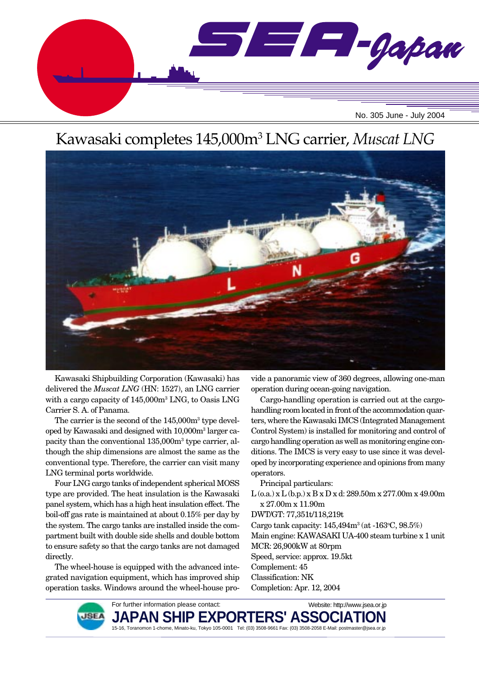

# Kawasaki completes 145,000m3 LNG carrier, *Muscat LNG*



Kawasaki Shipbuilding Corporation (Kawasaki) has delivered the *Muscat LNG* (HN: 1527), an LNG carrier with a cargo capacity of 145,000m3 LNG, to Oasis LNG Carrier S. A. of Panama.

The carrier is the second of the  $145,000m^3$  type developed by Kawasaki and designed with 10,000m3 larger capacity than the conventional 135,000m3 type carrier, although the ship dimensions are almost the same as the conventional type. Therefore, the carrier can visit many LNG terminal ports worldwide.

Four LNG cargo tanks of independent spherical MOSS type are provided. The heat insulation is the Kawasaki panel system, which has a high heat insulation effect. The boil-off gas rate is maintained at about 0.15% per day by the system. The cargo tanks are installed inside the compartment built with double side shells and double bottom to ensure safety so that the cargo tanks are not damaged directly.

The wheel-house is equipped with the advanced integrated navigation equipment, which has improved ship operation tasks. Windows around the wheel-house provide a panoramic view of 360 degrees, allowing one-man operation during ocean-going navigation.

Cargo-handling operation is carried out at the cargohandling room located in front of the accommodation quarters, where the Kawasaki IMCS (Integrated Management Control System) is installed for monitoring and control of cargo handling operation as well as monitoring engine conditions. The IMCS is very easy to use since it was developed by incorporating experience and opinions from many operators.

Principal particulars:

L (o.a.) x L (b.p.) x B x D x d: 289.50m x 277.00m x 49.00m x 27.00m x 11.90m

DWT/GT: 77,351t/118,219t

Cargo tank capacity:  $145,494m^3$  (at  $-163^{\circ}$ C,  $98.5\%)$ 

Main engine: KAWASAKI UA-400 steam turbine x 1 unit MCR: 26,900kW at 80rpm

Speed, service: approx. 19.5kt

- Complement: 45
- Classification: NK

Completion: Apr. 12, 2004

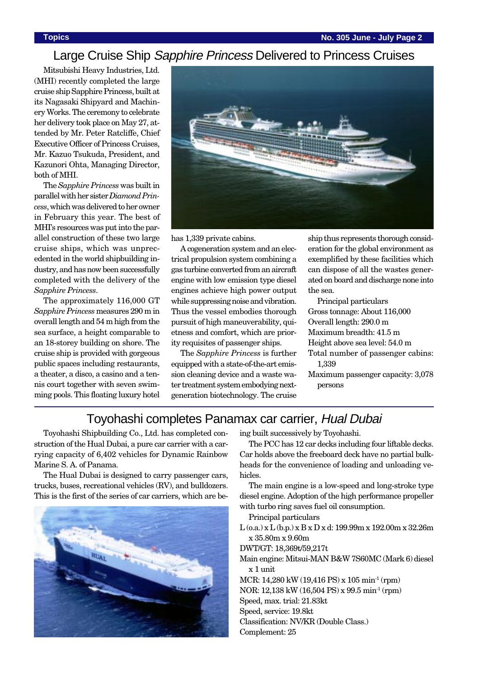#### Large Cruise Ship Sapphire Princess Delivered to Princess Cruises

Mitsubishi Heavy Industries, Ltd. (MHI) recently completed the large cruise ship Sapphire Princess, built at its Nagasaki Shipyard and Machinery Works. The ceremony to celebrate her delivery took place on May 27, attended by Mr. Peter Ratcliffe, Chief Executive Officer of Princess Cruises, Mr. Kazuo Tsukuda, President, and Kazunori Ohta, Managing Director, both of MHI.

The *Sapphire Princess* was built in parallel with her sister *Diamond Princess*, which was delivered to her owner in February this year. The best of MHI's resources was put into the parallel construction of these two large cruise ships, which was unprecedented in the world shipbuilding industry, and has now been successfully completed with the delivery of the *Sapphire Princess*.

The approximately 116,000 GT *Sapphire Princess* measures 290 m in overall length and 54 m high from the sea surface, a height comparable to an 18-storey building on shore. The cruise ship is provided with gorgeous public spaces including restaurants, a theater, a disco, a casino and a tennis court together with seven swimming pools. This floating luxury hotel



has 1,339 private cabins.

A cogeneration system and an electrical propulsion system combining a gas turbine converted from an aircraft engine with low emission type diesel engines achieve high power output while suppressing noise and vibration. Thus the vessel embodies thorough pursuit of high maneuverability, quietness and comfort, which are priority requisites of passenger ships.

The *Sapphire Princess* is further equipped with a state-of-the-art emission cleaning device and a waste water treatment system embodying nextgeneration biotechnology. The cruise

ship thus represents thorough consideration for the global environment as exemplified by these facilities which can dispose of all the wastes generated on board and discharge none into the sea.

Principal particulars Gross tonnage: About 116,000 Overall length: 290.0 m Maximum breadth: 41.5 m Height above sea level: 54.0 m Total number of passenger cabins: 1,339 Maximum passenger capacity: 3,078

persons

#### Toyohashi completes Panamax car carrier, Hual Dubai

Toyohashi Shipbuilding Co., Ltd. has completed construction of the Hual Dubai, a pure car carrier with a carrying capacity of 6,402 vehicles for Dynamic Rainbow Marine S. A. of Panama.

The Hual Dubai is designed to carry passenger cars, trucks, buses, recreational vehicles (RV), and bulldozers. This is the first of the series of car carriers, which are be-



ing built successively by Toyohashi.

The PCC has 12 car decks including four liftable decks. Car holds above the freeboard deck have no partial bulkheads for the convenience of loading and unloading vehicles.

The main engine is a low-speed and long-stroke type diesel engine. Adoption of the high performance propeller with turbo ring saves fuel oil consumption.

Principal particulars

L (o.a.) x L (b.p.) x B x D x d: 199.99m x 192.00m x 32.26m x 35.80m x 9.60m

DWT/GT: 18,369t/59,217t

- Main engine: Mitsui-MAN B&W 7S60MC (Mark 6) diesel x 1 unit
- MCR: 14,280 kW (19,416 PS) x 105 min-1 (rpm)
- NOR: 12,138 kW (16,504 PS) x 99.5 min-1 (rpm)

Speed, max. trial: 21.83kt

Speed, service: 19.8kt

Classification: NV/KR (Double Class.)

Complement: 25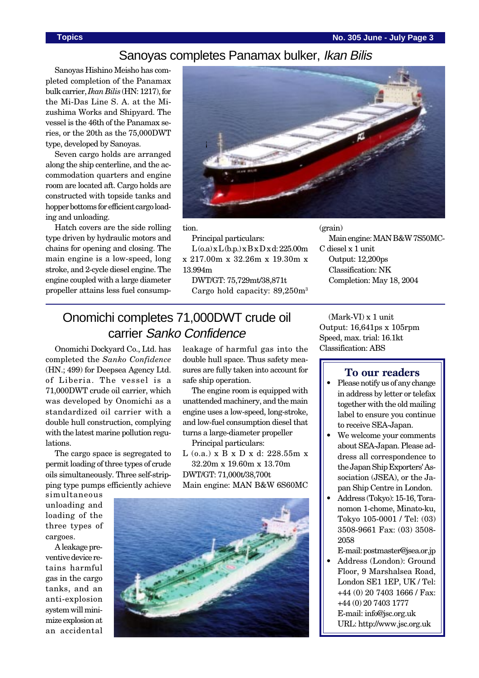#### **Topics No. 305 June - July Page 3**

#### Sanoyas completes Panamax bulker, Ikan Bilis

Sanoyas Hishino Meisho has completed completion of the Panamax bulk carrier, *Ikan Bilis* (HN: 1217), for the Mi-Das Line S. A. at the Mizushima Works and Shipyard. The vessel is the 46th of the Panamax series, or the 20th as the 75,000DWT type, developed by Sanoyas.

Seven cargo holds are arranged along the ship centerline, and the accommodation quarters and engine room are located aft. Cargo holds are constructed with topside tanks and hopper bottoms for efficient cargo loading and unloading.

Hatch covers are the side rolling type driven by hydraulic motors and chains for opening and closing. The main engine is a low-speed, long stroke, and 2-cycle diesel engine. The engine coupled with a large diameter propeller attains less fuel consump-



(grain)

C diesel x 1 unit Output: 12,200ps Classification: NK

tion.

Principal particulars:

 $L(o.a) \times L(b.p.) \times B \times D \times d$ : 225.00m x 217.00m x 32.26m x 19.30m x 13.994m

DWT/GT: 75,729mt/38,871t Cargo hold capacity: 89,250m3

## Onomichi completes 71,000DWT crude oil carrier Sanko Confidence

Onomichi Dockyard Co., Ltd. has completed the *Sanko Confidence* (HN.; 499) for Deepsea Agency Ltd. of Liberia. The vessel is a 71,000DWT crude oil carrier, which was developed by Onomichi as a standardized oil carrier with a double hull construction, complying with the latest marine pollution regulations.

The cargo space is segregated to permit loading of three types of crude oils simultaneously. Three self-stripping type pumps efficiently achieve

simultaneous unloading and loading of the three types of cargoes.

A leakage preventive device retains harmful gas in the cargo tanks, and an anti-explosion system will minimize explosion at an accidental leakage of harmful gas into the double hull space. Thus safety measures are fully taken into account for safe ship operation.

The engine room is equipped with unattended machinery, and the main engine uses a low-speed, long-stroke, and low-fuel consumption diesel that turns a large-diameter propeller

Principal particulars:

L (o.a.) x B x D x d: 228.55m x 32.20m x 19.60m x 13.70m DWT/GT: 71,000t/38,700t Main engine: MAN B&W 6S60MC



(Mark-VI) x 1 unit Output: 16,641ps x 105rpm Speed, max. trial: 16.1kt Classification: ABS

Completion: May 18, 2004

#### **To our readers**

Main engine: MAN B&W 7S50MC-

- Please notify us of any change in address by letter or telefax together with the old mailing label to ensure you continue to receive SEA-Japan.
- We welcome your comments about SEA-Japan. Please address all correspondence to the Japan Ship Exporters' Association (JSEA), or the Japan Ship Centre in London.
- Address (Tokyo): 15-16, Toranomon 1-chome, Minato-ku, Tokyo 105-0001 / Tel: (03) 3508-9661 Fax: (03) 3508- 2058
- E-mail: postmaster@jsea.or.jp • Address (London): Ground Floor, 9 Marshalsea Road, London SE1 1EP, UK / Tel: +44 (0) 20 7403 1666 / Fax: +44 (0) 20 7403 1777 E-mail: info@jsc.org.uk URL: http://www.jsc.org.uk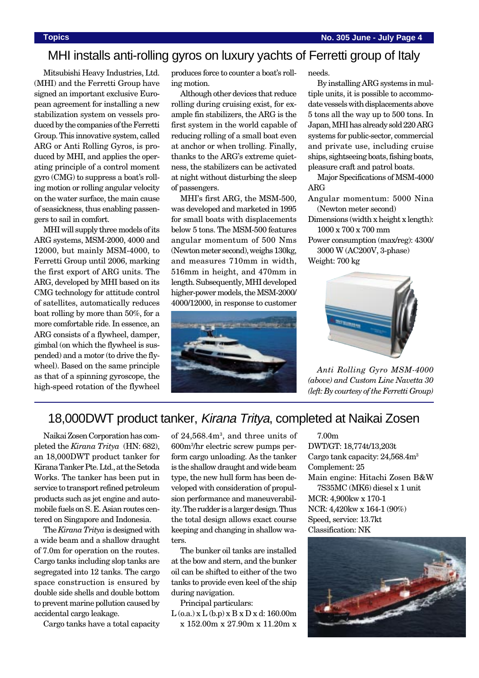#### MHI installs anti-rolling gyros on luxury yachts of Ferretti group of Italy

Mitsubishi Heavy Industries, Ltd. (MHI) and the Ferretti Group have signed an important exclusive European agreement for installing a new stabilization system on vessels produced by the companies of the Ferretti Group. This innovative system, called ARG or Anti Rolling Gyros, is produced by MHI, and applies the operating principle of a control moment gyro (CMG) to suppress a boat's rolling motion or rolling angular velocity on the water surface, the main cause of seasickness, thus enabling passengers to sail in comfort.

MHI will supply three models of its ARG systems, MSM-2000, 4000 and 12000, but mainly MSM-4000, to Ferretti Group until 2006, marking the first export of ARG units. The ARG, developed by MHI based on its CMG technology for attitude control of satellites, automatically reduces boat rolling by more than 50%, for a more comfortable ride. In essence, an ARG consists of a flywheel, damper, gimbal (on which the flywheel is suspended) and a motor (to drive the flywheel). Based on the same principle as that of a spinning gyroscope, the high-speed rotation of the flywheel produces force to counter a boat's rolling motion.

Although other devices that reduce rolling during cruising exist, for example fin stabilizers, the ARG is the first system in the world capable of reducing rolling of a small boat even at anchor or when trolling. Finally, thanks to the ARG's extreme quietness, the stabilizers can be activated at night without disturbing the sleep of passengers.

MHI's first ARG, the MSM-500, was developed and marketed in 1995 for small boats with displacements below 5 tons. The MSM-500 features angular momentum of 500 Nms (Newton meter second), weighs 130kg, and measures 710mm in width, 516mm in height, and 470mm in length. Subsequently, MHI developed higher-power models, the MSM-2000/ 4000/12000, in response to customer



needs.

By installing ARG systems in multiple units, it is possible to accommodate vessels with displacements above 5 tons all the way up to 500 tons. In Japan, MHI has already sold 220 ARG systems for public-sector, commercial and private use, including cruise ships, sightseeing boats, fishing boats, pleasure craft and patrol boats.

Major Specifications of MSM-4000 ARG

- Angular momentum: 5000 Nina (Newton meter second)
- Dimensions (width x height x length): 1000 x 700 x 700 mm

Power consumption (max/reg): 4300/ 3000 W (AC200V, 3-phase)

Weight: 700 kg



*Anti Rolling Gyro MSM-4000 (above) and Custom Line Navetta 30 (left: By courtesy of the Ferretti Group)*

## 18,000DWT product tanker, Kirana Tritya, completed at Naikai Zosen

Naikai Zosen Corporation has completed the *Kirana Tritya* (HN: 682), an 18,000DWT product tanker for Kirana Tanker Pte. Ltd., at the Setoda Works. The tanker has been put in service to transport refined petroleum products such as jet engine and automobile fuels on S. E. Asian routes centered on Singapore and Indonesia.

The *Kirana Tritya* is designed with a wide beam and a shallow draught of 7.0m for operation on the routes. Cargo tanks including slop tanks are segregated into 12 tanks. The cargo space construction is ensured by double side shells and double bottom to prevent marine pollution caused by accidental cargo leakage.

Cargo tanks have a total capacity

of 24,568.4m3 , and three units of 600m3 /hr electric screw pumps perform cargo unloading. As the tanker is the shallow draught and wide beam type, the new hull form has been developed with consideration of propulsion performance and maneuverability. The rudder is a larger design. Thus the total design allows exact course keeping and changing in shallow waters.

The bunker oil tanks are installed at the bow and stern, and the bunker oil can be shifted to either of the two tanks to provide even keel of the ship during navigation.

Principal particulars:

 $L$  (o.a.)  $x L$  (b.p)  $x B x D x d$ : 160.00m x 152.00m x 27.90m x 11.20m x

7.00m DWT/GT: 18,774t/13,203t Cargo tank capacity: 24,568.4m3 Complement: 25 Main engine: Hitachi Zosen B&W 7S35MC (MK6) diesel x 1 unit MCR: 4,900kw x 170-1 NCR: 4,420kw x 164-1 (90%) Speed, service: 13.7kt Classification: NK

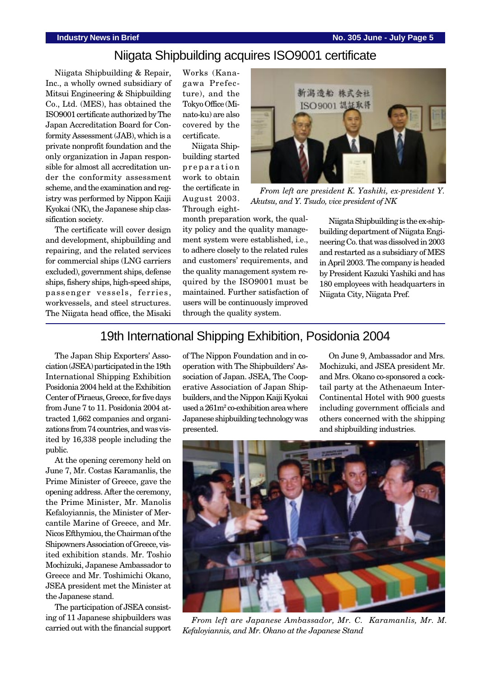## Niigata Shipbuilding acquires ISO9001 certificate

Niigata Shipbuilding & Repair, Inc., a wholly owned subsidiary of Mitsui Engineering & Shipbuilding Co., Ltd. (MES), has obtained the ISO9001 certificate authorized by The Japan Accreditation Board for Conformity Assessment (JAB), which is a private nonprofit foundation and the only organization in Japan responsible for almost all accreditation under the conformity assessment scheme, and the examination and registry was performed by Nippon Kaiji Kyokai (NK), the Japanese ship classification society.

The certificate will cover design and development, shipbuilding and repairing, and the related services for commercial ships (LNG carriers excluded), government ships, defense ships, fishery ships, high-speed ships, passenger vessels, ferries, workvessels, and steel structures. The Niigata head office, the Misaki Works (Kanagawa Prefecture), and the Tokyo Office (Minato-ku) are also covered by the certificate.

Niigata Shipbuilding started preparation work to obtain the certificate in August 2003. Through eight-



*From left are president K. Yashiki, ex-president Y. Akutsu, and Y. Tsudo, vice president of NK*

month preparation work, the quality policy and the quality management system were established, i.e., to adhere closely to the related rules and customers' requirements, and the quality management system required by the ISO9001 must be maintained. Further satisfaction of users will be continuously improved through the quality system.

Niigata Shipbuilding is the ex-shipbuilding department of Niigata Engineering Co. that was dissolved in 2003 and restarted as a subsidiary of MES in April 2003. The company is headed by President Kazuki Yashiki and has 180 employees with headquarters in Niigata City, Niigata Pref.

#### 19th International Shipping Exhibition, Posidonia 2004

The Japan Ship Exporters' Association (JSEA) participated in the 19th International Shipping Exhibition Posidonia 2004 held at the Exhibition Center of Piraeus, Greece, for five days from June 7 to 11. Posidonia 2004 attracted 1,662 companies and organizations from 74 countries, and was visited by 16,338 people including the public.

At the opening ceremony held on June 7, Mr. Costas Karamanlis, the Prime Minister of Greece, gave the opening address. After the ceremony, the Prime Minister, Mr. Manolis Kefaloyiannis, the Minister of Mercantile Marine of Greece, and Mr. Nicos Efthymiou, the Chairman of the Shipowners Association of Greece, visited exhibition stands. Mr. Toshio Mochizuki, Japanese Ambassador to Greece and Mr. Toshimichi Okano, JSEA president met the Minister at the Japanese stand.

The participation of JSEA consisting of 11 Japanese shipbuilders was carried out with the financial support of The Nippon Foundation and in cooperation with The Shipbuilders' Association of Japan. JSEA, The Cooperative Association of Japan Shipbuilders, and the Nippon Kaiji Kyokai used a  $261m^2$  co-exhibition area where Japanese shipbuilding technology was presented.

On June 9, Ambassador and Mrs. Mochizuki, and JSEA president Mr. and Mrs. Okano co-sponsored a cocktail party at the Athenaeum Inter-Continental Hotel with 900 guests including government officials and others concerned with the shipping and shipbuilding industries.



*From left are Japanese Ambassador, Mr. C. Karamanlis, Mr. M. Kefaloyiannis, and Mr. Okano at the Japanese Stand*